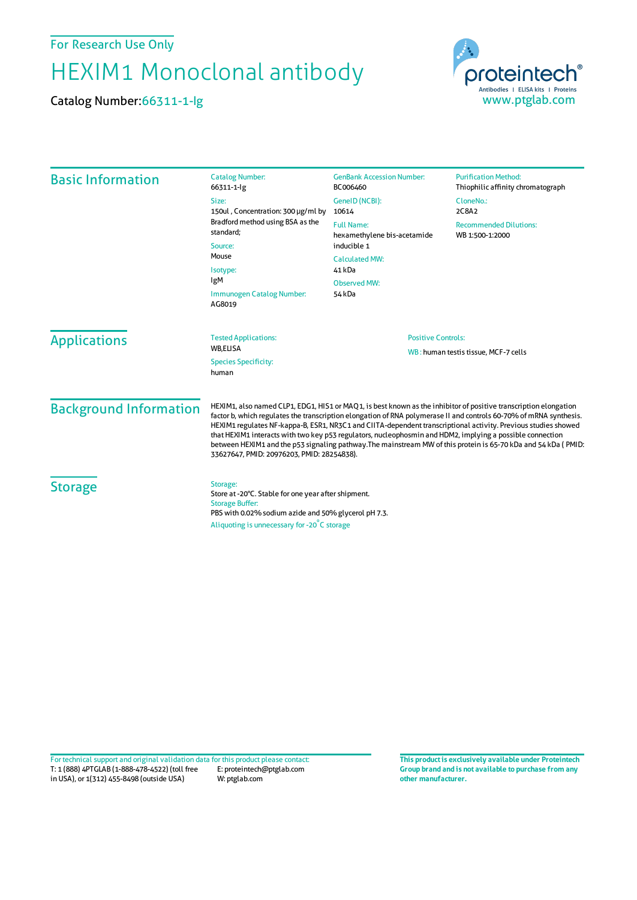For Research Use Only

## HEXIM1 Monoclonal antibody

Catalog Number:66311-1-Ig



| <b>Basic Information</b>                         | <b>Catalog Number:</b><br>66311-1-lg                                                                                                                                                                                                                                                                                                                                                                                                                                                                                                                                                                                                  | <b>GenBank Accession Number:</b><br>BC006460                                             | <b>Purification Method:</b><br>Thiophilic affinity chromatograph |
|--------------------------------------------------|---------------------------------------------------------------------------------------------------------------------------------------------------------------------------------------------------------------------------------------------------------------------------------------------------------------------------------------------------------------------------------------------------------------------------------------------------------------------------------------------------------------------------------------------------------------------------------------------------------------------------------------|------------------------------------------------------------------------------------------|------------------------------------------------------------------|
|                                                  | Size:<br>150ul, Concentration: 300 µg/ml by<br>Bradford method using BSA as the<br>standard:<br>Source:<br>Mouse<br>Isotype:<br>IgM<br>Immunogen Catalog Number:<br>AG8019                                                                                                                                                                                                                                                                                                                                                                                                                                                            | GeneID (NCBI):<br>10614                                                                  | CloneNo.:<br>2C8A2                                               |
|                                                  |                                                                                                                                                                                                                                                                                                                                                                                                                                                                                                                                                                                                                                       | <b>Full Name:</b><br>hexamethylene bis-acetamide<br>inducible 1<br><b>Calculated MW:</b> | <b>Recommended Dilutions:</b><br>WB 1:500-1:2000                 |
|                                                  |                                                                                                                                                                                                                                                                                                                                                                                                                                                                                                                                                                                                                                       |                                                                                          |                                                                  |
|                                                  |                                                                                                                                                                                                                                                                                                                                                                                                                                                                                                                                                                                                                                       | Observed MW:<br>54 kDa                                                                   |                                                                  |
|                                                  |                                                                                                                                                                                                                                                                                                                                                                                                                                                                                                                                                                                                                                       | <b>Applications</b>                                                                      |                                                                  |
| WB,ELISA<br><b>Species Specificity:</b><br>human |                                                                                                                                                                                                                                                                                                                                                                                                                                                                                                                                                                                                                                       |                                                                                          |                                                                  |
| <b>Background Information</b>                    | HEXIM1, also named CLP1, EDG1, HIS1 or MAQ1, is best known as the inhibitor of positive transcription elongation<br>factor b, which regulates the transcription elongation of RNA polymerase II and controls 60-70% of mRNA synthesis.<br>HEXIM1 regulates NF-kappa-B, ESR1, NR3C1 and CIITA-dependent transcriptional activity. Previous studies showed<br>that HEXIM1 interacts with two key p53 regulators, nucleophosmin and HDM2, implying a possible connection<br>between HEXIM1 and the p53 signaling pathway. The mainstream MW of this protein is 65-70 kDa and 54 kDa (PMID:<br>33627647, PMID: 20976203, PMID: 28254838). |                                                                                          |                                                                  |
| <b>Storage</b>                                   | Storage:<br>Store at -20°C. Stable for one year after shipment.<br><b>Storage Buffer:</b><br>PBS with 0.02% sodium azide and 50% glycerol pH 7.3.<br>Aliquoting is unnecessary for -20°C storage                                                                                                                                                                                                                                                                                                                                                                                                                                      |                                                                                          |                                                                  |

T: 1 (888) 4PTGLAB (1-888-478-4522) (toll free in USA), or 1(312) 455-8498 (outside USA) E: proteintech@ptglab.com W: ptglab.com Fortechnical support and original validation data forthis product please contact: **This productis exclusively available under Proteintech**

**Group brand and is not available to purchase from any other manufacturer.**